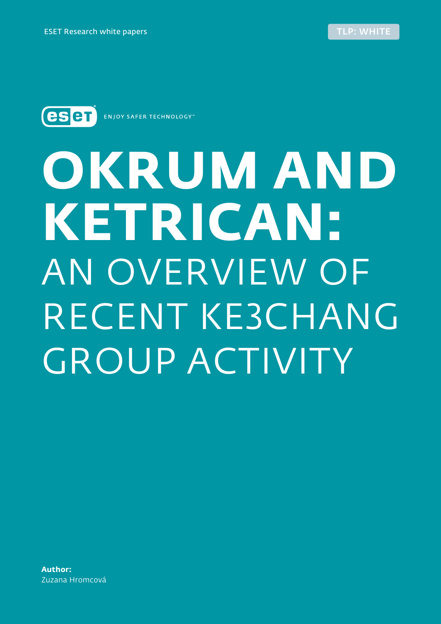<span id="page-0-0"></span>

**ENJOY SAFER TECHNOLOGY**"

# **OKRUM AND KETRICAN:** AN OVERVIEW OF RECENT KE3CHANG GROUP ACTIVITY

**Author:** Zuzana Hromcová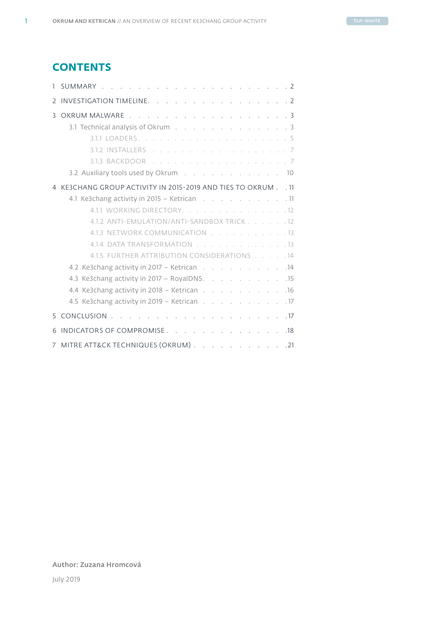# **CONTENTS**

| $\mathcal{L}$ | INVESTIGATION TIMELINE. 2                                                                                                                                                                                                      |
|---------------|--------------------------------------------------------------------------------------------------------------------------------------------------------------------------------------------------------------------------------|
| 3             | OKRUM MALWARE 3                                                                                                                                                                                                                |
|               | 3.1 Technical analysis of Okrum (a) and (b) and (b) and (b) and (b) and (b) and (b) and (b) and (b) and (b) and (b) and (b) and (b) and (b) and (b) and (b) and (b) and (b) and (b) and (b) and (b) and (b) and (b) and (b) an |
|               |                                                                                                                                                                                                                                |
|               |                                                                                                                                                                                                                                |
|               |                                                                                                                                                                                                                                |
|               | 3.2 Auxiliary tools used by Okrum 10                                                                                                                                                                                           |
|               | KE3CHANG GROUP ACTIVITY IN 2015-2019 AND TIES TO OKRUM 11                                                                                                                                                                      |
|               | 4.1 Ke3chang activity in 2015 - Ketrican 11                                                                                                                                                                                    |
|               | 4.1.1 WORKING DIRECTORY. 12                                                                                                                                                                                                    |
|               | 4.1.2 ANTI-EMULATION/ANTI-SANDBOX TRICK 12                                                                                                                                                                                     |
|               | 4.1.3 NETWORK COMMUNICATION 13                                                                                                                                                                                                 |
|               | 4.1.4 DATA TRANSFORMATION 13                                                                                                                                                                                                   |
|               | 4.1.5 FURTHER ATTRIBUTION CONSIDERATIONS 14                                                                                                                                                                                    |
|               | 4.2 Ke3chang activity in 2017 - Ketrican 14                                                                                                                                                                                    |
|               | 4.3 Ke3chang activity in 2017 - RoyalDNS. 15                                                                                                                                                                                   |
|               | 4.4 Ke3chang activity in 2018 – Ketrican 16                                                                                                                                                                                    |
|               | 4.5 Ke3chang activity in 2019 - Ketrican 17                                                                                                                                                                                    |
| 5.            | . 17                                                                                                                                                                                                                           |
|               | INDICATORS OF COMPROMISE.<br>.18                                                                                                                                                                                               |
|               | MITRE ATT&CK TECHNIQUES (OKRUM) 21                                                                                                                                                                                             |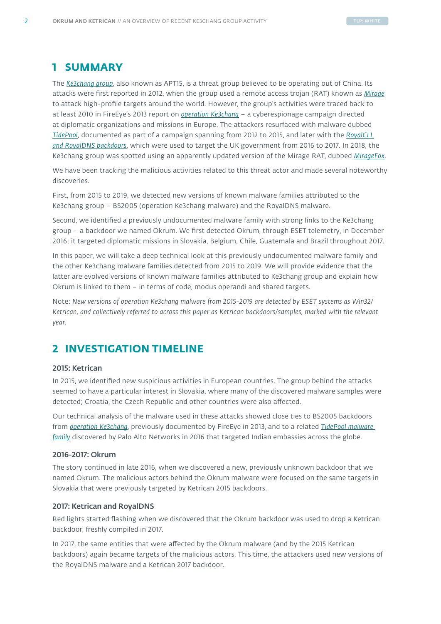# <span id="page-2-0"></span>**1 SUMMARY**

The *[Ke3chang group](https://attack.mitre.org/groups/G0004/)*, also known as APT15, is a threat group believed to be operating out of China. Its attacks were first reported in 2012, when the group used a remote access trojan (RAT) known as *[Mirage](https://www.secureworks.com/research/the-mirage-campaign)* to attack high-profile targets around the world. However, the group's activities were traced back to at least 2010 in FireEye's 2013 report on *[operation Ke3chang](https://www.fireeye.com/content/dam/fireeye-www/global/en/current-threats/pdfs/wp-operation-ke3chang.pdf)* – a cyberespionage campaign directed at diplomatic organizations and missions in Europe. The attackers resurfaced with malware dubbed *[TidePool](https://unit42.paloaltonetworks.com/operation-ke3chang-resurfaces-with-new-tidepool-malware/)*, documented as part of a campaign spanning from 2012 to 2015, and later with the *[RoyalCLI](https://www.nccgroup.trust/uk/about-us/newsroom-and-events/blogs/2018/march/apt15-is-alive-and-strong-an-analysis-of-royalcli-and-royaldns/)  [and RoyalDNS backdoors](https://www.nccgroup.trust/uk/about-us/newsroom-and-events/blogs/2018/march/apt15-is-alive-and-strong-an-analysis-of-royalcli-and-royaldns/)*, which were used to target the UK government from 2016 to 2017. In 2018, the Ke3chang group was spotted using an apparently updated version of the Mirage RAT, dubbed *[MirageFox](https://www.intezer.com/miragefox-apt15-resurfaces-with-new-tools-based-on-old-ones/)*.

We have been tracking the malicious activities related to this threat actor and made several noteworthy discoveries.

First, from 2015 to 2019, we detected new versions of known malware families attributed to the Ke3chang group – BS2005 (operation Ke3chang malware) and the RoyalDNS malware.

Second, we identified a previously undocumented malware family with strong links to the Ke3chang group – a backdoor we named Okrum. We first detected Okrum, through ESET telemetry, in December 2016; it targeted diplomatic missions in Slovakia, Belgium, Chile, Guatemala and Brazil throughout 2017.

In this paper, we will take a deep technical look at this previously undocumented malware family and the other Ke3chang malware families detected from 2015 to 2019. We will provide evidence that the latter are evolved versions of known malware families attributed to Ke3chang group and explain how Okrum is linked to them – in terms of code, modus operandi and shared targets.

Note: *New versions of operation Ke3chang malware from 2015-2019 are detected by ESET systems as Win32/ Ketrican, and collectively referred to across this paper as Ketrican backdoors/samples, marked with the relevant year.*

# **2 INVESTIGATION TIMELINE**

# 2015: Ketrican

In 2015, we identified new suspicious activities in European countries. The group behind the attacks seemed to have a particular interest in Slovakia, where many of the discovered malware samples were detected; Croatia, the Czech Republic and other countries were also affected.

Our technical analysis of the malware used in these attacks showed close ties to BS2005 backdoors from *[operation Ke3chang](https://www.fireeye.com/content/dam/fireeye-www/global/en/current-threats/pdfs/wp-operation-ke3chang.pdf)*, previously documented by FireEye in 2013, and to a related *[TidePool malware](https://unit42.paloaltonetworks.com/operation-ke3chang-resurfaces-with-new-tidepool-malware/)  [family](https://unit42.paloaltonetworks.com/operation-ke3chang-resurfaces-with-new-tidepool-malware/)* discovered by Palo Alto Networks in 2016 that targeted Indian embassies across the globe.

# 2016-2017: Okrum

The story continued in late 2016, when we discovered a new, previously unknown backdoor that we named Okrum. The malicious actors behind the Okrum malware were focused on the same targets in Slovakia that were previously targeted by Ketrican 2015 backdoors.

# 2017: Ketrican and RoyalDNS

Red lights started flashing when we discovered that the Okrum backdoor was used to drop a Ketrican backdoor, freshly compiled in 2017.

In 2017, the same entities that were affected by the Okrum malware (and by the 2015 Ketrican backdoors) again became targets of the malicious actors. This time, the attackers used new versions of the RoyalDNS malware and a Ketrican 2017 backdoor.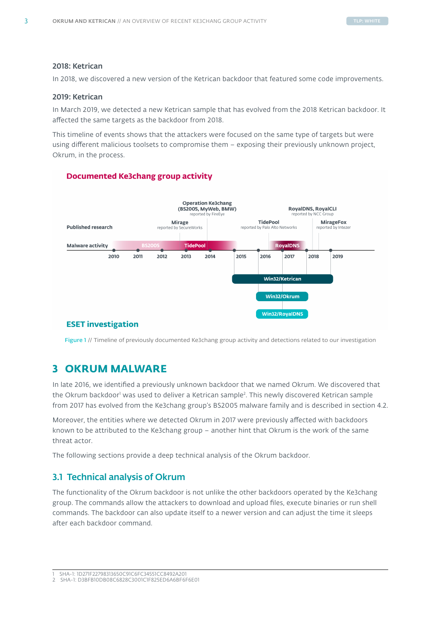# <span id="page-3-0"></span>2018: Ketrican

In 2018, we discovered a new version of the Ketrican backdoor that featured some code improvements.

# 2019: Ketrican

In March 2019, we detected a new Ketrican sample that has evolved from the 2018 Ketrican backdoor. It affected the same targets as the backdoor from 2018.

This timeline of events shows that the attackers were focused on the same type of targets but were using different malicious toolsets to compromise them – exposing their previously unknown project, Okrum, in the process.

# **Documented Ke3chang group activity**



# **ESET investigation**

Figure 1 // Timeline of previously documented Ke3chang group activity and detections related to our investigation

# **3 OKRUM MALWARE**

In late 2016, we identified a previously unknown backdoor that we named Okrum. We discovered that the Okrum backdoor' was used to deliver a Ketrican sample<sup>2</sup>. This newly discovered Ketrican sample from 2017 has evolved from the Ke3chang group's BS2005 malware family and is described in section 4.2.

Moreover, the entities where we detected Okrum in 2017 were previously affected with backdoors known to be attributed to the Ke3chang group – another hint that Okrum is the work of the same threat actor.

The following sections provide a deep technical analysis of the Okrum backdoor.

# 3.1 Technical analysis of Okrum

The functionality of the Okrum backdoor is not unlike the other backdoors operated by the Ke3chang group. The commands allow the attackers to download and upload files, execute binaries or run shell commands. The backdoor can also update itself to a newer version and can adjust the time it sleeps after each backdoor command.

<sup>1</sup> SHA-1: 1D271F22798313650C91C6FC34551CC8492A201

<sup>2</sup> SHA-1: D3BFB10DB08C6828C3001C1F825ED6A6BF6F6E01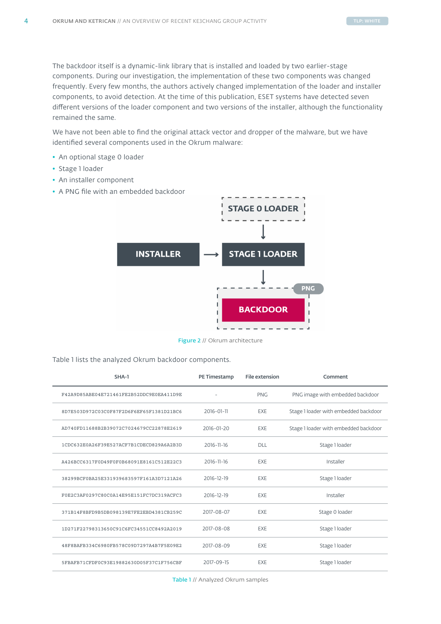The backdoor itself is a dynamic-link library that is installed and loaded by two earlier-stage components. During our investigation, the implementation of these two components was changed frequently. Every few months, the authors actively changed implementation of the loader and installer components, to avoid detection. At the time of this publication, ESET systems have detected seven different versions of the loader component and two versions of the installer, although the functionality remained the same.

We have not been able to find the original attack vector and dropper of the malware, but we have identified several components used in the Okrum malware:

- An optional stage 0 loader
- Stage 1 loader
- An installer component
- A PNG file with an embedded backdoor



Figure 2 // Okrum architecture

Table 1 lists the analyzed Okrum backdoor components.

| SHA-1                                    | PE Timestamp | <b>File extension</b> | Comment                               |
|------------------------------------------|--------------|-----------------------|---------------------------------------|
| F42A9D85ABE04E721461FE2B52DDC9E0EA411D9E |              | <b>PNG</b>            | PNG image with embedded backdoor      |
| 8D7E503D972C03C0F87F2D6F6EF65F1381D21BC6 | 2016-01-11   | EXE                   | Stage 1 loader with embedded backdoor |
| AD740FD11688B2B39072C7024679CC22878E2619 | 2016-01-20   | <b>EXE</b>            | Stage 1 loader with embedded backdoor |
| 1CDC632E0A26F39E527ACF7B1CDECD829A6A2B3D | 2016-11-16   | <b>DLL</b>            | Stage 1 loader                        |
| A426BCC6317F0D49F0F0B68091E8161C512E22C3 | 2016-11-16   | EXE                   | Installer                             |
| 38299BCF0BA25E331939683597F161A3D7121A26 | 2016-12-19   | EXE                   | Stage 1 loader                        |
| F0E2C3AF0297C80C0A14E95E151FC7DC319ACFC3 | 2016-12-19   | EXE                   | Installer                             |
| 371B14F8BFD9B5DB098139E7FE2EBD4381CB259C | 2017-08-07   | EXE                   | Stage 0 loader                        |
| 1D271F22798313650C91C6FC34551CC8492A2019 | 2017-08-08   | EXE                   | Stage 1 loader                        |
| 48F8BAFB334C6980FB578C09D7297A4B7F5E09E2 | 2017-08-09   | EXE                   | Stage 1 loader                        |
| 5FBAFB71CFDF0C93E19882630D05F37C1F756CBF | 2017-09-15   | EXE                   | Stage 1 loader                        |

Table 1 // Analyzed Okrum samples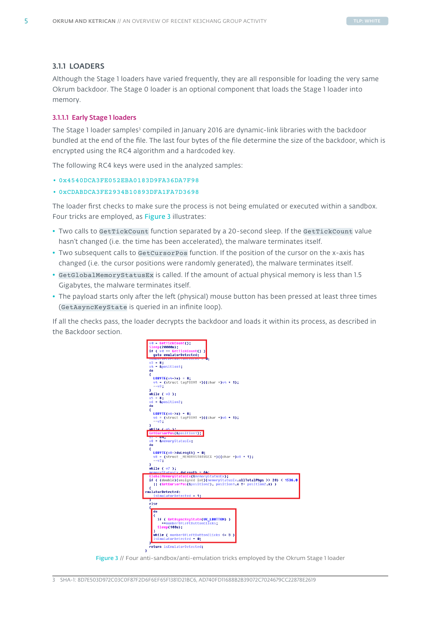# <span id="page-5-0"></span>3.1.1 LOADERS

Although the Stage 1 loaders have varied frequently, they are all responsible for loading the very same Okrum backdoor. The Stage 0 loader is an optional component that loads the Stage 1 loader into memory.

# 3.1.1.1 Early Stage 1 loaders

The Stage 1 loader samples<sup>3</sup> compiled in January 2016 are dynamic-link libraries with the backdoor bundled at the end of the file. The last four bytes of the file determine the size of the backdoor, which is encrypted using the RC4 algorithm and a hardcoded key.

The following RC4 keys were used in the analyzed samples:

• 0x4540DCA3FE052EBA0183D9FA36DA7F98

### • 0xCDABDCA3FE2934B10893DFA1FA7D3698

The loader first checks to make sure the process is not being emulated or executed within a sandbox. Four tricks are employed, as Figure 3 illustrates:

- Two calls to GetTickCount function separated by a 20-second sleep. If the GetTickCount value hasn't changed (i.e. the time has been accelerated), the malware terminates itself.
- Two subsequent calls to GetCursorPos function. If the position of the cursor on the x-axis has changed (i.e. the cursor positions were randomly generated), the malware terminates itself.
- GetGlobalMemoryStatusEx is called. If the amount of actual physical memory is less than 1.5 Gigabytes, the malware terminates itself.
- The payload starts only after the left (physical) mouse button has been pressed at least three times (GetAsyncKeyState is queried in an infinite loop).

If all the checks pass, the loader decrypts the backdoor and loads it within its process, as described in the Backdoor section.



Figure 3 // Four anti-sandbox/anti-emulation tricks employed by the Okrum Stage 1 loader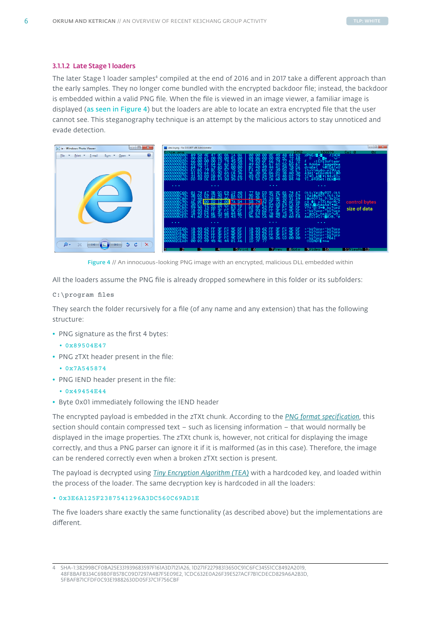### 3.1.1.2 Late Stage 1 loaders

The later Stage 1 loader samples<sup>4</sup> compiled at the end of 2016 and in 2017 take a different approach than the early samples. They no longer come bundled with the encrypted backdoor file; instead, the backdoor is embedded within a valid PNG file. When the file is viewed in an image viewer, a familiar image is displayed (as seen in Figure 4) but the loaders are able to locate an extra encrypted file that the user cannot see. This steganography technique is an attempt by the malicious actors to stay unnoticed and evade detection.

| $\Box$ $\Box$<br>$\mathbf{x}$<br>ie - Windows Photo Viewer                         | <b>UW</b> view ie.png - Far 2.0.1807 x86 Administrator                                                                                                                                                                                                                                                                                                                                                                                                                                                                                                                                                                                                                                                                                                                                                                                                                             |                               |
|------------------------------------------------------------------------------------|------------------------------------------------------------------------------------------------------------------------------------------------------------------------------------------------------------------------------------------------------------------------------------------------------------------------------------------------------------------------------------------------------------------------------------------------------------------------------------------------------------------------------------------------------------------------------------------------------------------------------------------------------------------------------------------------------------------------------------------------------------------------------------------------------------------------------------------------------------------------------------|-------------------------------|
| $\circ$<br>Burn $\tau$ Open $\tau$<br>File:<br>$Print -$<br>$\mathbf{v}$<br>E-mail | 183979<br>1HDR<br><b>PRODUCED</b><br>PRODUCED PRODUCED PRODUCED PRO<br>.<br>АЙИЙИЯ:<br><b>XPNG</b> <sup>10</sup> <sup>+0</sup><br>$rac{48}{5}$<br>-89<br>4997454361EG<br>00<br>00<br>65<br>67<br>42245525024<br><b>CASCORD CONGER</b><br><b>92490248748</b><br>06<br>53<br>60<br>Ā1<br>macongongg<br><b>New</b><br>۵ô<br>45<br>65<br>20<br>ī9<br>6F<br>↓tĔXtŠoftwar<br>Jobe ImageRea<br>Z4<br>52<br>52<br>Adobe<br>e.<br><b>BRESSER</b><br><b>Beendare</b><br><b>Guage</b><br>TxU<br><b>PROFESS</b><br>57<br>79<br>Au&ú-µI9Uuc<br>ikyk Mu&ú-µI<br>A3dI'eE6z06¶<br>64<br>03<br>DF<br>65<br>034<br>03<br>CO<br>DB<br>BB<br>햶<br>麛<br>ā3<br>49<br>A\$ vi\$4yKOy<br>4555<br>$\begin{array}{cccccccccc} \bullet & \bullet & \bullet & \bullet \end{array}$<br>$\cdots$<br>$\cdots$<br>$\cdots$<br>@t§;Yét@wºO?.@t§<br>:Yét@wºO?.@t§;Yé<br>踭<br>跟<br>髧<br>$\frac{40}{93}$<br>器<br>赣<br>髥 | Ø%.<br>Col 0                  |
|                                                                                    | <b>7400314504044460</b><br><b>CERCALIZATION</b><br>9D7433F<br>APSAGE<br>EXPIRENCE<br>3B<br>12<br>AE<br><b>DD</b><br>40<br>00BC70:<br>00BC80:<br>+ ΦωθΟΥΙω 7:3221c<br>ra θι zIXt ¢erMrZ<br>ra θι zIXt φεrMrZ<br>γγμιμή aφθοί νωτρ<br>γγμιμή aφθογάzε<br>+"by?αzε+"by?αzε<br>+"by?αzε+"by?αzε<br>AmEOS»cl-0225,<br><b>Accepted</b><br>58<br>12<br>54<br><b>BRAFFISS</b><br>3851841<br><b>ABARBO</b><br>CHREATER<br><b>BDRARE</b><br>ᡂ<br><b>PC</b><br>23<br>99339<br><b>DORTION</b><br><b>Tight</b><br>000000BCD0:<br>000000BCE0:<br>$\cdots$<br>$\begin{array}{cccccccccccccc} \bullet & \bullet & \bullet & \bullet & \bullet \end{array}$<br>$\cdots$<br>$\cdots$                                                                                                                                                                                                                 | control bytes<br>size of data |
| ('E<br>$\times$<br>⊕ -<br>Ċ.<br>Θ<br><b>Pim</b><br>D<br>19                         | <b>BARRAS</b><br><b>BARRAS</b><br>8% BF<br>8% BF<br>8% BF<br><b>ANTINO</b><br><b>ARRAGA</b><br>002CE60:<br>833333<br>486828<br>+"by?üzβ+"by?üzβ<br>+"by?üzβ+"by?üzβ<br>+"by?üzβ+"by?üzβ<br>+"by?üzβ+"P6&I<br>©IEND© <mark> </mark> +aw<br>$\begin{array}{c}\n 0 \\  0 \\  0\n \end{array}$<br>的出生<br>1002CE70:<br>1002CE80:<br>2CE90:<br>000002CEA0:<br>-2<br>e.<br>SPrint 6<br>7Prev 8Goto 9Video 10<br>4                                                                                                                                                                                                                                                                                                                                                                                                                                                                         | $11$ V i ewhs $12$            |

Figure 4 // An innocuous-looking PNG image with an encrypted, malicious DLL embedded within

All the loaders assume the PNG file is already dropped somewhere in this folder or its subfolders:

### C:\program files

They search the folder recursively for a file (of any name and any extension) that has the following structure:

- PNG signature as the first 4 bytes:
	- 0x89504E47
- PNG zTXt header present in the file:
	- 0x7A545874
- PNG IEND header present in the file:
	- 0x49454E44
- Byte 0x01 immediately following the IEND header

The encrypted payload is embedded in the zTXt chunk. According to the *[PNG format specification](https://www.w3.org/TR/2003/REC-PNG-20031110/#11zTXt)*, this section should contain compressed text – such as licensing information – that would normally be displayed in the image properties. The zTXt chunk is, however, not critical for displaying the image correctly, and thus a PNG parser can ignore it if it is malformed (as in this case). Therefore, the image can be rendered correctly even when a broken zTXt section is present.

The payload is decrypted using *[Tiny Encryption Algorithm \(TEA\)](https://link.springer.com/chapter/10.1007%2F3-540-60590-8_29)* with a hardcoded key, and loaded within the process of the loader. The same decryption key is hardcoded in all the loaders:

• 0x3E6A125F2387541296A3DC560C69AD1E

The five loaders share exactly the same functionality (as described above) but the implementations are different.

<sup>4</sup> SHA-1:38299BCF0BA25E331939683597F161A3D7121A26, 1D271F22798313650C91C6FC34551CC8492A2019, 48F8BAFB334C6980FB578C09D7297A4B7F5E09E2, 1CDC632E0A26F39E527ACF7B1CDECD829A6A2B3D, 5FBAFB71CFDF0C93E19882630D05F37C1F756CBF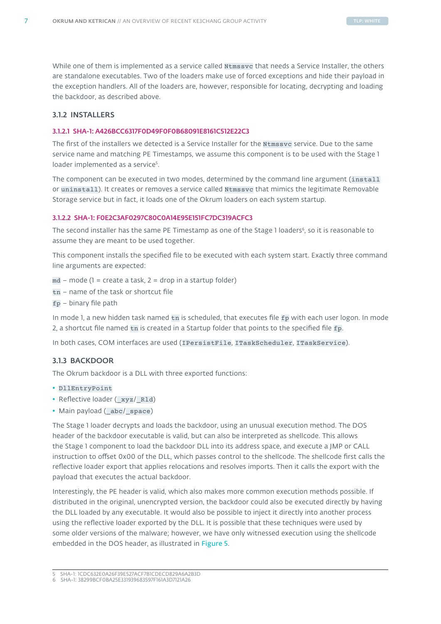<span id="page-7-0"></span>While one of them is implemented as a service called Ntmssvc that needs a Service Installer, the others are standalone executables. Two of the loaders make use of forced exceptions and hide their payload in the exception handlers. All of the loaders are, however, responsible for locating, decrypting and loading the backdoor, as described above.

# 3.1.2 INSTALLERS

### 3.1.2.1 SHA-1: A426BCC6317F0D49F0F0B68091E8161C512E22C3

The first of the installers we detected is a Service Installer for the Ntmssvc service. Due to the same service name and matching PE Timestamps, we assume this component is to be used with the Stage 1 loader implemented as a service<sup>5</sup>.

The component can be executed in two modes, determined by the command line argument (install or uninstall). It creates or removes a service called Ntmssvc that mimics the legitimate Removable Storage service but in fact, it loads one of the Okrum loaders on each system startup.

# 3.1.2.2 SHA-1: F0E2C3AF0297C80C0A14E95E151FC7DC319ACFC3

The second installer has the same PE Timestamp as one of the Stage 1 loaders<sup>6</sup>, so it is reasonable to assume they are meant to be used together.

This component installs the specified file to be executed with each system start. Exactly three command line arguments are expected:

- $md$  mode (1 = create a task, 2 = drop in a startup folder)
- tn name of the task or shortcut file
- $fp binary file path$

In mode 1, a new hidden task named tn is scheduled, that executes file fp with each user logon. In mode 2, a shortcut file named tn is created in a Startup folder that points to the specified file fp.

In both cases, COM interfaces are used (IPersistFile, ITaskScheduler, ITaskService).

# 3.1.3 BACKDOOR

The Okrum backdoor is a DLL with three exported functions:

- DllEntryPoint
- Reflective loader ( xyz/ Rld)
- Main payload (\_abc/\_space)

The Stage 1 loader decrypts and loads the backdoor, using an unusual execution method. The DOS header of the backdoor executable is valid, but can also be interpreted as shellcode. This allows the Stage 1 component to load the backdoor DLL into its address space, and execute a JMP or CALL instruction to offset 0x00 of the DLL, which passes control to the shellcode. The shellcode first calls the reflective loader export that applies relocations and resolves imports. Then it calls the export with the payload that executes the actual backdoor.

Interestingly, the PE header is valid, which also makes more common execution methods possible. If distributed in the original, unencrypted version, the backdoor could also be executed directly by having the DLL loaded by any executable. It would also be possible to inject it directly into another process using the reflective loader exported by the DLL. It is possible that these techniques were used by some older versions of the malware; however, we have only witnessed execution using the shellcode embedded in the DOS header, as illustrated in Figure 5.

<sup>5</sup> SHA-1: 1CDC632E0A26F39E527ACF7B1CDECD829A6A2B3D

<sup>6</sup> SHA-1: 38299BCF0BA25E331939683597F161A3D7121A26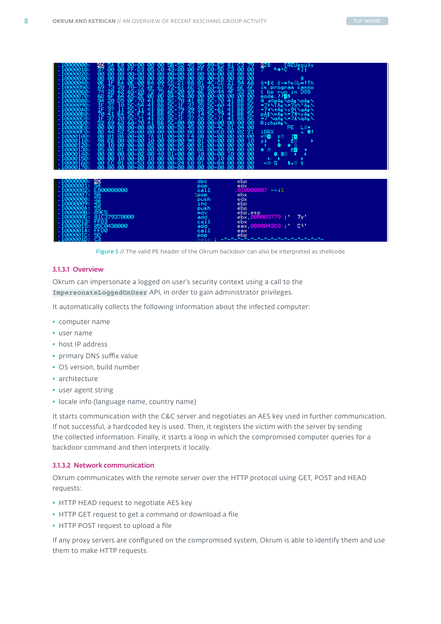

Figure 5 // The valid PE header of the Okrum backdoor can also be interpreted as shellcode

### 3.1.3.1 Overview

Okrum can impersonate a logged on user's security context using a call to the ImpersonateLoggedOnUser API, in order to gain administrator privileges.

It automatically collects the following information about the infected computer:

- computer name
- user name
- host IP address
- primary DNS suffix value
- OS version, build number
- architecture
- user agent string
- locale info (language name, country name)

It starts communication with the C&C server and negotiates an AES key used in further communication. If not successful, a hardcoded key is used. Then, it registers the victim with the server by sending the collected information. Finally, it starts a loop in which the compromised computer queries for a backdoor command and then interprets it locally.

### 3.1.3.2 Network communication

Okrum communicates with the remote server over the HTTP protocol using GET, POST and HEAD requests:

- HTTP HEAD request to negotiate AES key
- HTTP GET request to get a command or download a file
- HTTP POST request to upload a file

If any proxy servers are configured on the compromised system, Okrum is able to identify them and use them to make HTTP requests.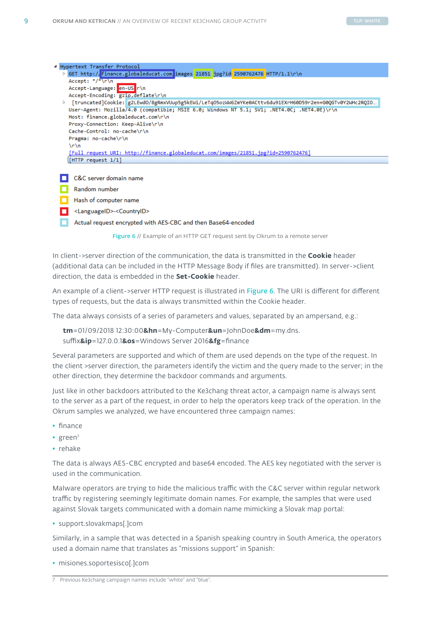

- <LanguageID>-<CountryID>
	- Actual request encrypted with AES-CBC and then Base64-encoded

Figure 6 // Example of an HTTP GET request sent by Okrum to a remote server

In client->server direction of the communication, the data is transmitted in the **Cookie** header (additional data can be included in the HTTP Message Body if files are transmitted). In server->client direction, the data is embedded in the **Set-Cookie** header.

An example of a client->server HTTP request is illustrated in Figure 6. The URI is different for different types of requests, but the data is always transmitted within the Cookie header.

The data always consists of a series of parameters and values, separated by an ampersand, e.g.:

**tm**=01/09/2018 12:30:00**&hn**=My-Computer**&un**=JohnDoe**&dm**=my.dns. suffix**&ip**=127.0.0.1**&os**=Windows Server 2016**&fg**=finance

Several parameters are supported and which of them are used depends on the type of the request. In the client >server direction, the parameters identify the victim and the query made to the server; in the other direction, they determine the backdoor commands and arguments.

Just like in other backdoors attributed to the Ke3chang threat actor, a campaign name is always sent to the server as a part of the request, in order to help the operators keep track of the operation. In the Okrum samples we analyzed, we have encountered three campaign names:

- finance
- green<sup>7</sup>
- rehake

The data is always AES-CBC encrypted and base64 encoded. The AES key negotiated with the server is used in the communication.

Malware operators are trying to hide the malicious traffic with the C&C server within regular network traffic by registering seemingly legitimate domain names. For example, the samples that were used against Slovak targets communicated with a domain name mimicking a Slovak map portal:

• support.slovakmaps[.]com

Similarly, in a sample that was detected in a Spanish speaking country in South America, the operators used a domain name that translates as "missions support" in Spanish:

• misiones.soportesisco[.]com

<sup>7</sup> Previous Ke3chang campaign names include "white" and "blue".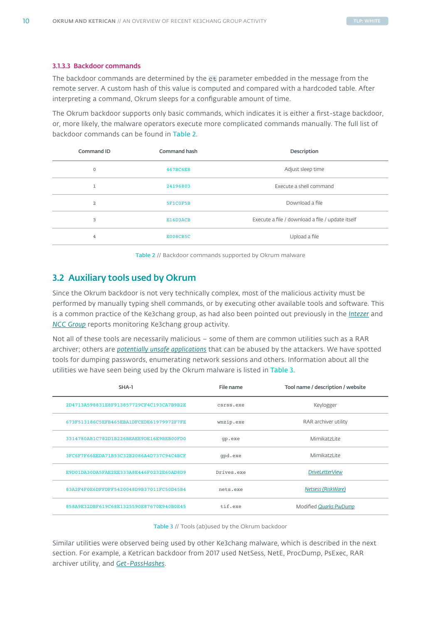### <span id="page-10-0"></span>3.1.3.3 Backdoor commands

The backdoor commands are determined by the ct parameter embedded in the message from the remote server. A custom hash of this value is computed and compared with a hardcoded table. After interpreting a command, Okrum sleeps for a configurable amount of time.

The Okrum backdoor supports only basic commands, which indicates it is either a first-stage backdoor, or, more likely, the malware operators execute more complicated commands manually. The full list of backdoor commands can be found in Table 2.

| Command ID     | <b>Command hash</b> | Description                                      |
|----------------|---------------------|--------------------------------------------------|
| 0              | 467BC6E8            | Adjust sleep time                                |
| $\mathbf{I}$   | 24196803            | Execute a shell command                          |
| 2              | 5F1C0F5B            | Download a file                                  |
| 3              | E16D3ACB            | Execute a file / download a file / update itself |
| $\overline{4}$ | E008CB5C            | Upload a file                                    |

Table 2 // Backdoor commands supported by Okrum malware

# 3.2 Auxiliary tools used by Okrum

Since the Okrum backdoor is not very technically complex, most of the malicious activity must be performed by manually typing shell commands, or by executing other available tools and software. This is a common practice of the Ke3chang group, as had also been pointed out previously in the *[Intezer](https://www.intezer.com/miragefox-apt15-resurfaces-with-new-tools-based-on-old-ones/)* and *[NCC Group](https://www.nccgroup.trust/uk/about-us/newsroom-and-events/blogs/2018/march/apt15-is-alive-and-strong-an-analysis-of-royalcli-and-royaldns/)* reports monitoring Ke3chang group activity.

Not all of these tools are necessarily malicious – some of them are common utilities such as a RAR archiver; others are *[potentially unsafe applications](https://help.eset.com/eav/10/en-US/idh_unsafe_application.html)* that can be abused by the attackers. We have spotted tools for dumping passwords, enumerating network sessions and others. Information about all the utilities we have seen being used by the Okrum malware is listed in Table 3.

| File name  | Tool name / description / website |
|------------|-----------------------------------|
| CSYSS.exe  | Keylogger                         |
| wnzip.exe  | RAR archiver utility              |
| qp.exe     | MimikatzLite                      |
| qpd.exe    | MimikatzLite                      |
| Drives.exe | <b>DriveLetterView</b>            |
| nets.exe   | Netsess (RiskWare)                |
| tif.exe    | Modified Quarks PwDump            |
|            |                                   |

Table 3 // Tools (ab)used by the Okrum backdoor

Similar utilities were observed being used by other Ke3chang malware, which is described in the next section. For example, a Ketrican backdoor from 2017 used NetSess, NetE, ProcDump, PsExec, RAR archiver utility, and *[Get-PassHashes](https://github.com/samratashok/nishang/blob/master/Gather/Get-PassHashes.ps1)*.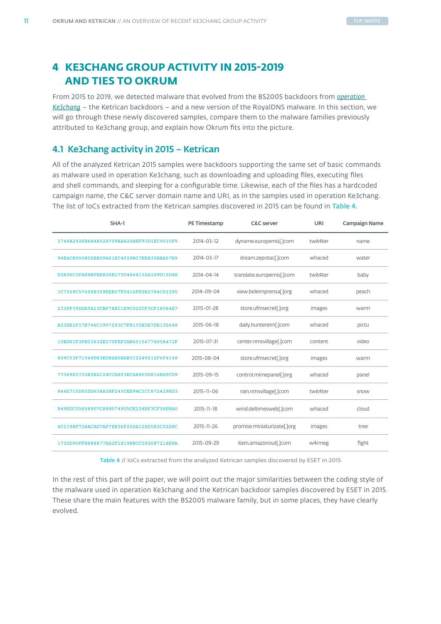# <span id="page-11-0"></span>**4 KE3CHANG GROUP ACTIVITY IN 2015-2019 AND TIES TO OKRUM**

From 2015 to 2019, we detected malware that evolved from the BS2005 backdoors from *[operation](https://www.fireeye.com/content/dam/fireeye-www/global/en/current-threats/pdfs/wp-operation-ke3chang.pdf)  [Ke3chang](https://www.fireeye.com/content/dam/fireeye-www/global/en/current-threats/pdfs/wp-operation-ke3chang.pdf)* – the Ketrican backdoors – and a new version of the RoyalDNS malware. In this section, we will go through these newly discovered samples, compare them to the malware families previously attributed to Ke3chang group, and explain how Okrum fits into the picture.

# 4.1 Ke3chang activity in 2015 – Ketrican

All of the analyzed Ketrican 2015 samples were backdoors supporting the same set of basic commands as malware used in operation Ke3chang, such as downloading and uploading files, executing files and shell commands, and sleeping for a configurable time. Likewise, each of the files has a hardcoded campaign name, the C&C server domain name and URI, as in the samples used in operation Ke3chang. The list of IoCs extracted from the Ketrican samples discovered in 2015 can be found in Table 4.

| SHA-1                                    | PE Timestamp | <b>C&amp;C</b> server       | URI      | <b>Campaign Name</b> |
|------------------------------------------|--------------|-----------------------------|----------|----------------------|
| 2748A2928B6A4A528709ABA20AEF93D1EC9010F9 | 2014-03-12   | dyname.europemis[.]com      | twit4ter | name                 |
| 94E6CB95585DBB59A61EC4029BC7EBB30BBA57E5 | 2014-03-17   | dream.zepotac[.]com         | whaced   | water                |
| D3A96C0FA84BFEE826E175D4664116A169D15D4E | 2014-04-14   | translate.europemis[.]com   | twit4ter | baby                 |
| 1C7559C57606B359EEB57F0416FE0B2784C01395 | 2014-09-04   | view.beleimprensa[.]org     | whaced   | peach                |
| 233FF39DDE5A13CBF78EC1E9C020CF3CF18084E7 | 2015-01-28   | store.ufmsecret[.]org       | images   | warm                 |
| A23EE1F17B746C1907293C7F8155E3E7DE135648 | 2015-06-18   | daily.huntereim[.]com       | whaced   | pictu                |
| 10BD61F3FB03632E270FEF3AB6515677405A472F | 2015-07-31   | center.nmsvillage[.]com     | content  | video                |
| 809C53F71549D83ED8AB5BAB312249212F6F4149 | 2015-08-04   | store.ufmsecret[.]org       | images   | warm                 |
| 77369D3735B3B2C24CCAA93ECAA903D816EA9CD9 | 2015-09-15   | control.mimepanel[.]org     | whaced   | panel                |
| 844E710D85DD63AA5BF245CEE94C1CC872429BD3 | 2015-11-06   | rain.nmsvillage[.]com       | twit4ter | snow                 |
| B49EDC05658907C888074905CE234BF3CF58D8A0 | 2015-11-18   | wind.deltimesweb[.]com      | whaced   | cloud                |
| 4C1198F726ACAD7AF78B36F250A128D5E3C52D8C | 2015-11-26   | promise.miniaturizate[.]org | images   | tree                 |
| 1730D90FFB888877EA2F18198BCC592087218E9A | 2015-09-29   | item.amazonout[.]com        | w4rmeg   | fight                |

Table 4 // IoCs extracted from the analyzed Ketrican samples discovered by ESET in 2015

In the rest of this part of the paper, we will point out the major similarities between the coding style of the malware used in operation Ke3chang and the Ketrican backdoor samples discovered by ESET in 2015. These share the main features with the BS2005 malware family, but in some places, they have clearly evolved.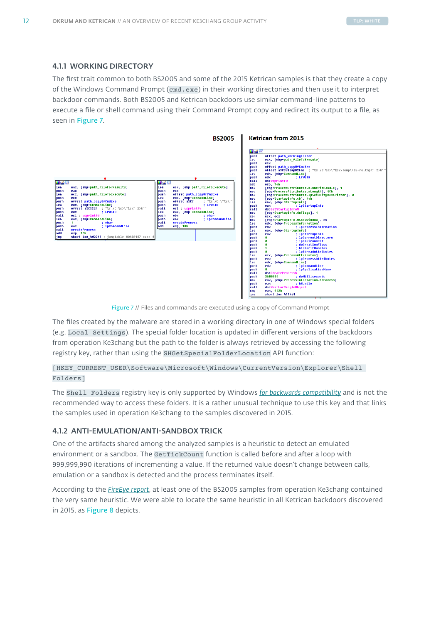# <span id="page-12-0"></span>4.1.1 WORKING DIRECTORY

The first trait common to both BS2005 and some of the 2015 Ketrican samples is that they create a copy of the Windows Command Prompt (cmd.exe) in their working directories and then use it to interpret backdoor commands. Both BS2005 and Ketrican backdoors use similar command-line patterns to execute a file or shell command using their Command Prompt copy and redirect its output to a file, as seen in Figure 7.



Figure 7 // Files and commands are executed using a copy of Command Prompt

The files created by the malware are stored in a working directory in one of Windows special folders (e.g.Local Settings). The special folder location is updated in different versions of the backdoors from operation Ke3chang but the path to the folder is always retrieved by accessing the following registry key, rather than using the SHGetSpecialFolderLocation API function:

# [HKEY\_CURRENT\_USER\Software\Microsoft\Windows\CurrentVersion\Explorer\Shell Folders]

The Shell Folders registry key is only supported by Windows *[for backwards compatibility](https://docs.microsoft.com/en-us/previous-versions/technet-magazine/cc160778(v=msdn.10))* and is not the recommended way to access these folders. It is a rather unusual technique to use this key and that links the samples used in operation Ke3chang to the samples discovered in 2015.

# 4.1.2 ANTI-EMULATION/ANTI-SANDBOX TRICK

One of the artifacts shared among the analyzed samples is a heuristic to detect an emulated environment or a sandbox. The GetTickCount function is called before and after a loop with 999,999,990 iterations of incrementing a value. If the returned value doesn't change between calls, emulation or a sandbox is detected and the process terminates itself.

According to the *[FireEye report](https://www.fireeye.com/content/dam/fireeye-www/global/en/current-threats/pdfs/wp-operation-ke3chang.pdf)*, at least one of the BS2005 samples from operation Ke3chang contained the very same heuristic. We were able to locate the same heuristic in all Ketrican backdoors discovered in 2015, as Figure 8 depicts.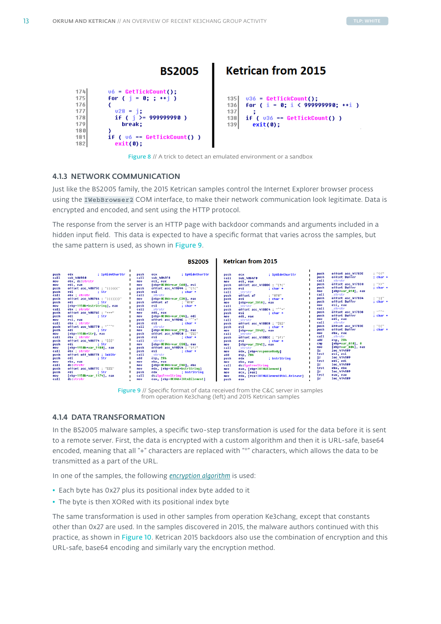<span id="page-13-0"></span>

Figure 8 // A trick to detect an emulated environment or a sandbox

# 4.1.3 NETWORK COMMUNICATION

Just like the BS2005 family, the 2015 Ketrican samples control the Internet Explorer browser process using the IWebBrowser2 COM interface, to make their network communication look legitimate. Data is encrypted and encoded, and sent using the HTTP protocol.

The response from the server is an HTTP page with backdoor commands and arguments included in a hidden input field. This data is expected to have a specific format that varies across the samples, but the same pattern is used, as shown in Figure 9.





# 4.1.4 DATA TRANSFORMATION

In the BS2005 malware samples, a specific two-step transformation is used for the data before it is sent to a remote server. First, the data is encrypted with a custom algorithm and then it is URL-safe, base64 encoded, meaning that all "+" characters are replaced with "\*" characters, which allows the data to be transmitted as a part of the URL.

In one of the samples, the following *[encryption algorithm](https://www.fireeye.com/content/dam/fireeye-www/global/en/current-threats/pdfs/wp-operation-ke3chang.pdf)* is used:

- Each byte has 0x27 plus its positional index byte added to it
- The byte is then XORed with its positional index byte

The same transformation is used in other samples from operation Ke3chang, except that constants other than 0x27 are used. In the samples discovered in 2015, the malware authors continued with this practice, as shown in Figure 10. Ketrican 2015 backdoors also use the combination of encryption and this URL-safe, base64 encoding and similarly vary the encryption method.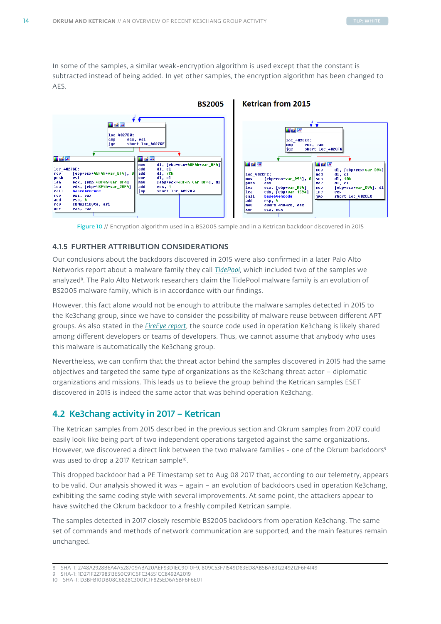<span id="page-14-0"></span>In some of the samples, a similar weak-encryption algorithm is used except that the constant is subtracted instead of being added. In yet other samples, the encryption algorithm has been changed to AES.



Figure 10 // Encryption algorithm used in a BS2005 sample and in a Ketrican backdoor discovered in 2015

# 4.1.5 FURTHER ATTRIBUTION CONSIDERATIONS

Our conclusions about the backdoors discovered in 2015 were also confirmed in a later Palo Alto Networks report about a malware family they call *[TidePool](https://unit42.paloaltonetworks.com/operation-ke3chang-resurfaces-with-new-tidepool-malware/)*, which included two of the samples we analyzed<sup>8</sup>. The Palo Alto Network researchers claim the TidePool malware family is an evolution of BS2005 malware family, which is in accordance with our findings.

However, this fact alone would not be enough to attribute the malware samples detected in 2015 to the Ke3chang group, since we have to consider the possibility of malware reuse between different APT groups. As also stated in the *[FireEye report](https://www.fireeye.com/content/dam/fireeye-www/global/en/current-threats/pdfs/wp-operation-ke3chang.pdf)*, the source code used in operation Ke3chang is likely shared among different developers or teams of developers. Thus, we cannot assume that anybody who uses this malware is automatically the Ke3chang group.

Nevertheless, we can confirm that the threat actor behind the samples discovered in 2015 had the same objectives and targeted the same type of organizations as the Ke3chang threat actor – diplomatic organizations and missions. This leads us to believe the group behind the Ketrican samples ESET discovered in 2015 is indeed the same actor that was behind operation Ke3chang.

# 4.2 Ke3chang activity in 2017 – Ketrican

The Ketrican samples from 2015 described in the previous section and Okrum samples from 2017 could easily look like being part of two independent operations targeted against the same organizations. However, we discovered a direct link between the two malware families - one of the Okrum backdoors<sup>9</sup> was used to drop a 2017 Ketrican sample<sup>10</sup>.

This dropped backdoor had a PE Timestamp set to Aug 08 2017 that, according to our telemetry, appears to be valid. Our analysis showed it was – again – an evolution of backdoors used in operation Ke3chang, exhibiting the same coding style with several improvements. At some point, the attackers appear to have switched the Okrum backdoor to a freshly compiled Ketrican sample.

The samples detected in 2017 closely resemble BS2005 backdoors from operation Ke3chang. The same set of commands and methods of network communication are supported, and the main features remain unchanged.

<sup>8</sup> SHA-1: 2748A2928B6A4A528709ABA20AEF93D1EC9010F9, 809C53F71549D83ED8AB5BAB312249212F6F4149

<sup>9</sup> SHA-1: 1D271F22798313650C91C6FC34551CC8492A2019

<sup>10</sup> SHA-1: D3BFB10DB08C6828C3001C1F825ED6A6BF6F6E01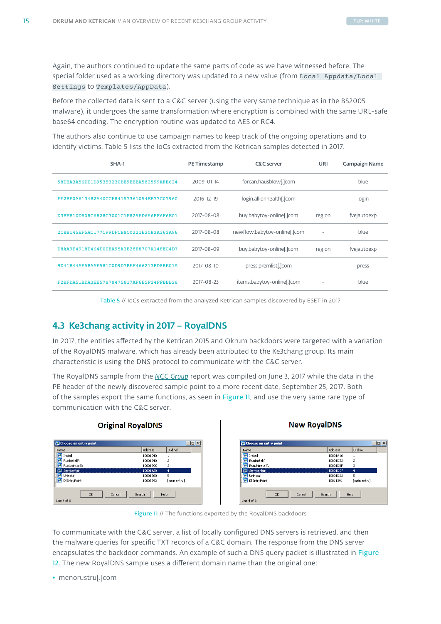<span id="page-15-0"></span>Again, the authors continued to update the same parts of code as we have witnessed before. The special folder used as a working directory was updated to a new value (from Local Appdata/Local Settings to Templates/AppData).

Before the collected data is sent to a C&C server (using the very same technique as in the BS2005 malware), it undergoes the same transformation where encryption is combined with the same URL-safe base64 encoding. The encryption routine was updated to AES or RC4.

The authors also continue to use campaign names to keep track of the ongoing operations and to identify victims. Table 5 lists the IoCs extracted from the Ketrican samples detected in 2017.

| SHA-1                                    | PE Timestamp | <b>C&amp;C</b> server        | URI    | Campaign Name |
|------------------------------------------|--------------|------------------------------|--------|---------------|
| 58DEA3A56DE1D95353230BE9BBBA582599AFE624 | 2009-01-14   | forcan.hausblow[.]com        |        | blue          |
| FE2BF0A613482A40CCF84157361054EE77C07960 | 2016-12-19   | login.allionhealth[.]com     |        | login         |
| D3BFB10DB08C6828C3001C1F825ED6A6BF6F6E01 | 2017-08-08   | buy.babytoy-online[.]com     | region | fvejautoexp   |
| 2C8B145EF5AC177C99DFCB8C0221E30B3A363A96 | 2017-08-08   | newflow.babytoy-online[.]com |        | blue          |
| D8AA9E4918E464D00BA95A3E28B8707A148EC4D7 | 2017-08-09   | buy.babytoy-online[.]com     | region | fvejautoexp   |
| 9D41B44AF5BAAF581C0D9D7BEF466213BD8BE01A | 2017-08-10   | press.premlist[.]com         |        | press         |
| F2BFDA51BDA3EE57878475817AF6E5F24FFBBB28 | 2017-08-23   | items.babytoy-online[.]com   |        | blue          |

Table 5 // IoCs extracted from the analyzed Ketrican samples discovered by ESET in 2017

# 4.3 Ke3chang activity in 2017 – RoyalDNS

In 2017, the entities affected by the Ketrican 2015 and Okrum backdoors were targeted with a variation of the RoyalDNS malware, which has already been attributed to the Ke3chang group. Its main characteristic is using the DNS protocol to communicate with the C&C server.

The RoyalDNS sample from the *[NCC Group](https://www.nccgroup.trust/uk/about-us/newsroom-and-events/blogs/2018/march/apt15-is-alive-and-strong-an-analysis-of-royalcli-and-royaldns/ )* report was compiled on June 3, 2017 while the data in the PE header of the newly discovered sample point to a more recent date, September 25, 2017. Both of the samples export the same functions, as seen in Figure 11, and use the very same rare type of communication with the C&C server.





| Name                               | Address  | Ordinal        |
|------------------------------------|----------|----------------|
| Install                            | 10001A16 |                |
| E,<br>RunInstallA                  | 10001D53 | $\overline{c}$ |
| 귫<br>RunUninstallA                 | 10001DBF | 3              |
| ServiceMain                        | 10001DCF | $\ddot{ }$     |
| Uninstall                          | 10001D63 | 5              |
| ₹<br>DilEntryPoint                 | 10011391 | [main entry]   |
| Cancel<br><b>OK</b><br>Line 4 of 6 | Search   | Help           |

Figure 11 // The functions exported by the RoyalDNS backdoors

To communicate with the C&C server, a list of locally configured DNS servers is retrieved, and then the malware queries for specific TXT records of a C&C domain. The response from the DNS server encapsulates the backdoor commands. An example of such a DNS query packet is illustrated in Figure 12. The new RoyalDNS sample uses a different domain name than the original one:

• menorustru[.]com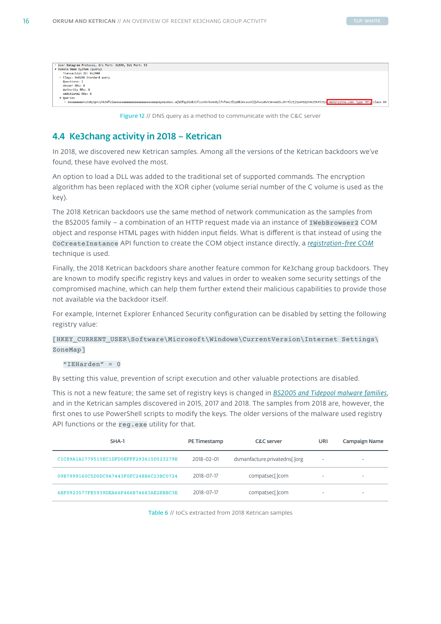<span id="page-16-0"></span>

| User Datagram Protocol, Src Port: 31939, Dst Port: 53                                                                                                                                          |
|------------------------------------------------------------------------------------------------------------------------------------------------------------------------------------------------|
| 4 Domain Name System (query)                                                                                                                                                                   |
| Transaction ID: 0x2900                                                                                                                                                                         |
| Flags: 0x0100 Standard query                                                                                                                                                                   |
| <b>Questions: 1</b>                                                                                                                                                                            |
| Answer RRs: 0                                                                                                                                                                                  |
| Authority RRs: 0                                                                                                                                                                               |
| Additional RRs: 0                                                                                                                                                                              |
| 4 Oueries                                                                                                                                                                                      |
| maaaaaaaanv2s0y1pnvyhk3dfoiaaaaaaaaaaaaaaaaaaaaaaaaaqeayeaudaoc.ajbifqydiob3ifcustkrkvmv0ylfnfwxc3lzp0bincuoskljvhvcu0vk3mvwxk5.2hr4lz5j3pw452pt4x15t4535ya.menorustru.com: type TXT, class IN |
|                                                                                                                                                                                                |

Figure 12 // DNS query as a method to communicate with the C&C server

# 4.4 Ke3chang activity in 2018 – Ketrican

In 2018, we discovered new Ketrican samples. Among all the versions of the Ketrican backdoors we've found, these have evolved the most.

An option to load a DLL was added to the traditional set of supported commands. The encryption algorithm has been replaced with the XOR cipher (volume serial number of the C volume is used as the key).

The 2018 Ketrican backdoors use the same method of network communication as the samples from the BS2005 family - a combination of an HTTP request made via an instance of IWebBrowser2 COM object and response HTML pages with hidden input fields. What is different is that instead of using the CoCreateInstance API function to create the COM object instance directly, a *[registration-free COM](https://blogs.msdn.microsoft.com/mikhailarkhipov/2005/04/01/registration-free-com/)* technique is used.

Finally, the 2018 Ketrican backdoors share another feature common for Ke3chang group backdoors. They are known to modify specific registry keys and values in order to weaken some security settings of the compromised machine, which can help them further extend their malicious capabilities to provide those not available via the backdoor itself.

For example, Internet Explorer Enhanced Security configuration can be disabled by setting the following registry value:

[HKEY\_CURRENT\_USER\Software\Microsoft\Windows\CurrentVersion\Internet Settings\ ZoneMap]

### $"IEHarden" = 0$

By setting this value, prevention of script execution and other valuable protections are disabled.

This is not a new feature; the same set of registry keys is changed in *[BS2005 and Tidepool malware families](https://unit42.paloaltonetworks.com/operation-ke3chang-resurfaces-with-new-tidepool-malware/)*, and in the Ketrican samples discovered in 2015, 2017 and 2018. The samples from 2018 are, however, the first ones to use PowerShell scripts to modify the keys. The older versions of the malware used registry API functions or the reg.exe utility for that.

| SHA-1                                    | PE Timestamp | <b>C&amp;C</b> server         | URI | Campaign Name |
|------------------------------------------|--------------|-------------------------------|-----|---------------|
| C1C89A1A1779515EC1DFD0EFFF293615D523279E | 2018-02-01   | dsmanfacture.privatedns[.]org | -   | -             |
| 09B7999160C5D0DC9A7443F0FC248B6C23BC0724 | 2018-07-17   | compatsec[.]com               | ۰   | ۰             |
| 6BF0923577FE5939DEA66F466B74683AE2EBBC3E | 2018-07-17   | compatsec[.]com               | ۰   | -             |

Table 6 // IoCs extracted from 2018 Ketrican samples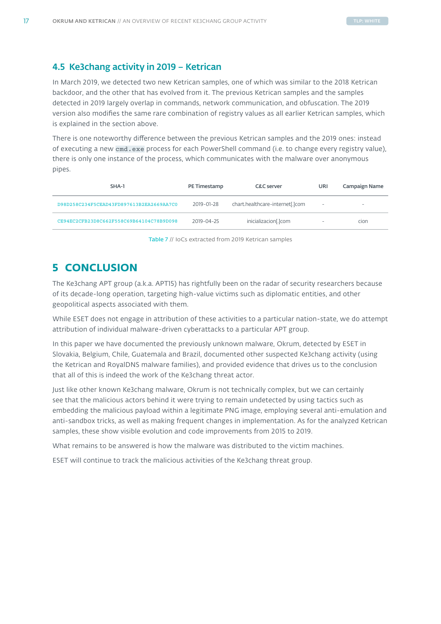# <span id="page-17-0"></span>4.5 Ke3chang activity in 2019 – Ketrican

In March 2019, we detected two new Ketrican samples, one of which was similar to the 2018 Ketrican backdoor, and the other that has evolved from it. The previous Ketrican samples and the samples detected in 2019 largely overlap in commands, network communication, and obfuscation. The 2019 version also modifies the same rare combination of registry values as all earlier Ketrican samples, which is explained in the section above.

There is one noteworthy difference between the previous Ketrican samples and the 2019 ones: instead of executing a new cmd.exe process for each PowerShell command (i.e. to change every registry value), there is only one instance of the process, which communicates with the malware over anonymous pipes.

| SHA-1                                    | PE Timestamp | <b>C&amp;C</b> server           | URI                      | Campaign Name |
|------------------------------------------|--------------|---------------------------------|--------------------------|---------------|
| D98D258C234F5CEAD43FD897613B2EA2669AA7C0 | 2019-01-28   | chart.healthcare-internet[.]com | $\overline{\phantom{m}}$ | -             |
| CE94EC2CFB23D8C662F558C69B64104C78B9D098 | 2019-04-25   | inicializacion[.]com            | $\overline{\phantom{m}}$ | cion          |

Table 7 // IoCs extracted from 2019 Ketrican samples

# **5 CONCLUSION**

The Ke3chang APT group (a.k.a. APT15) has rightfully been on the radar of security researchers because of its decade-long operation, targeting high-value victims such as diplomatic entities, and other geopolitical aspects associated with them.

While ESET does not engage in attribution of these activities to a particular nation-state, we do attempt attribution of individual malware-driven cyberattacks to a particular APT group.

In this paper we have documented the previously unknown malware, Okrum, detected by ESET in Slovakia, Belgium, Chile, Guatemala and Brazil, documented other suspected Ke3chang activity (using the Ketrican and RoyalDNS malware families), and provided evidence that drives us to the conclusion that all of this is indeed the work of the Ke3chang threat actor.

Just like other known Ke3chang malware, Okrum is not technically complex, but we can certainly see that the malicious actors behind it were trying to remain undetected by using tactics such as embedding the malicious payload within a legitimate PNG image, employing several anti-emulation and anti-sandbox tricks, as well as making frequent changes in implementation. As for the analyzed Ketrican samples, these show visible evolution and code improvements from 2015 to 2019.

What remains to be answered is how the malware was distributed to the victim machines.

ESET will continue to track the malicious activities of the Ke3chang threat group.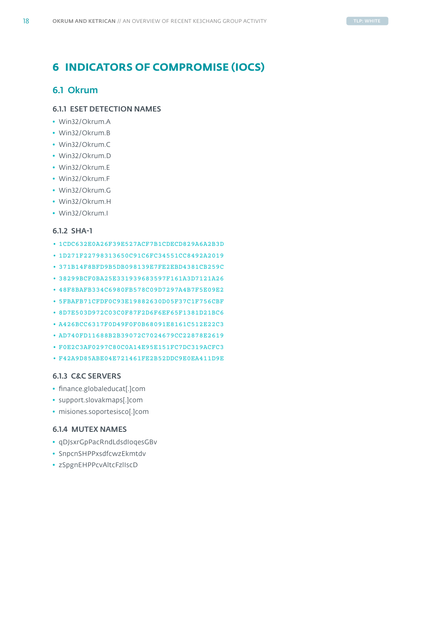# <span id="page-18-0"></span>**6 INDICATORS OF COMPROMISE (IOCS)**

# 6.1 Okrum

# 6.1.1 ESET DETECTION NAMES

- Win32/Okrum.A
- Win32/Okrum.B
- Win32/Okrum.C
- Win32/Okrum.D
- Win32/Okrum.E
- Win32/Okrum.F
- Win32/Okrum.G
- Win32/Okrum.H
- Win32/Okrum.I

# 6.1.2 SHA-1

- 1CDC632E0A26F39E527ACF7B1CDECD829A6A2B3D
- 1D271F22798313650C91C6FC34551CC8492A2019
- 371B14F8BFD9B5DB098139E7FE2EBD4381CB259C
- 38299BCF0BA25E331939683597F161A3D7121A26
- 48F8BAFB334C6980FB578C09D7297A4B7F5E09E2
- 5FBAFB71CFDF0C93E19882630D05F37C1F756CBF
- 8D7E503D972C03C0F87F2D6F6EF65F1381D21BC6
- A426BCC6317F0D49F0F0B68091E8161C512E22C3
- AD740FD11688B2B39072C7024679CC22878E2619
- F0E2C3AF0297C80C0A14E95E151FC7DC319ACFC3
- F42A9D85ABE04E721461FE2B52DDC9E0EA411D9E

# 6.1.3 C&C SERVERS

- finance.globaleducat[.]com
- support.slovakmaps[.]com
- misiones.soportesisco[.]com

# 6.1.4 MUTEX NAMES

- qDJsxrGpPacRndLdsdIoqesGBv
- SnpcnSHPPxsdfcwzEkmtdv
- zSpgnEHPPcvAltcFzlIscD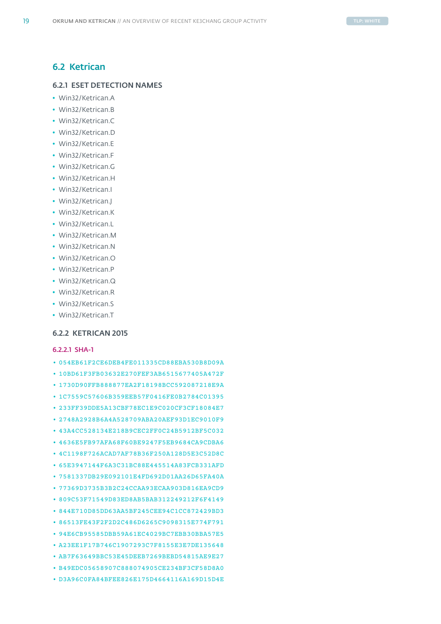# 6.2 Ketrican

# 6.2.1 ESET DETECTION NAMES

- Win32/Ketrican.A
- Win32/Ketrican.B
- Win32/Ketrican.C
- Win32/Ketrican.D
- Win32/Ketrican.E
- Win32/Ketrican.F
- Win32/Ketrican.G
- Win32/Ketrican.H
- Win32/Ketrican.I
- Win32/Ketrican.J
- Win32/Ketrican.K
- Win32/Ketrican.L
- Win32/Ketrican.M
- Win32/Ketrican.N
- Win32/Ketrican.O
- Win32/Ketrican.P
- Win32/Ketrican.Q
- Win32/Ketrican.R
- Win32/Ketrican.S
- Win32/Ketrican.T

# 6.2.2 KETRICAN 2015

# 6.2.2.1 SHA-1

- 054EB61F2CE6DEB4FE011335CD88EBA530B8D09A • 10BD61F3FB03632E270FEF3AB6515677405A472F • 1730D90FFB888877EA2F18198BCC592087218E9A • 1C7559C57606B359EEB57F0416FE0B2784C01395 • 233FF39DDE5A13CBF78EC1E9C020CF3CF18084E7 • 2748A2928B6A4A528709ABA20AEF93D1EC9010F9 • 43A4CC528134E218B9CEC2FF0C24B5912BF5C032 • 4636E5FB97AFA68F60BE9247F5EB9684CA9CDBA6 • 4C1198F726ACAD7AF78B36F250A128D5E3C52D8C • 65E3947144F6A3C31BC88E445514A83FCB331AFD • 7581337DB29E092101E4FD692D01AA26D65FA40A • 77369D3735B3B2C24CCAA93ECAA903D816EA9CD9 • 809C53F71549D83ED8AB5BAB312249212F6F4149 • 844E710D85DD63AA5BF245CEE94C1CC872429BD3 • 86513FE43F2F2D2C486D6265C9098315E774F791 • 94E6CB95585DBB59A61EC4029BC7EBB30BBA57E5 • A23EE1F17B746C1907293C7F8155E3E7DE135648 • AB7F63649BBC53E45DEEB7269BEBD54815AE9E27 • B49EDC05658907C888074905CE234BF3CF58D8A0
- D3A96C0FA84BFEE826E175D4664116A169D15D4E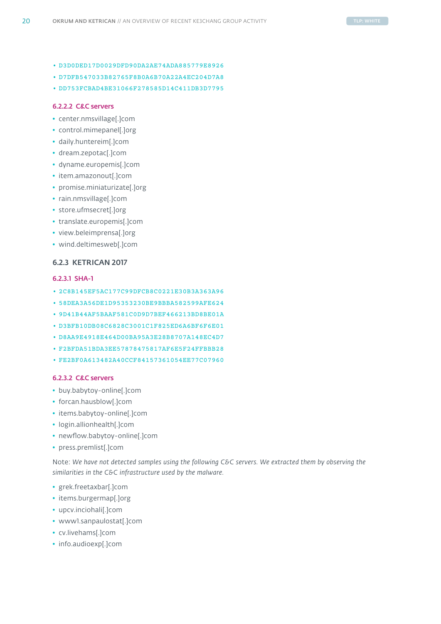- D3D0DED17D0029DFD90DA2AE74ADA885779E8926
- D7DFB547033B82765F8B0A6B70A22A4EC204D7A8
- DD753FCBAD4BE31066F278585D14C411DB3D7795

### 6.2.2.2 C&C servers

- center.nmsvillage[.]com
- control.mimepanel[.]org
- daily.huntereim[.]com
- dream.zepotac[.]com
- dyname.europemis[.]com
- item.amazonout[.]com
- promise.miniaturizate[.]org
- rain.nmsvillage[.]com
- store.ufmsecret[.]org
- translate.europemis[.]com
- view.beleimprensa[.]org
- wind.deltimesweb[.]com

### 6.2.3 KETRICAN 2017

# 6.2.3.1 SHA-1

- 2C8B145EF5AC177C99DFCB8C0221E30B3A363A96
- 58DEA3A56DE1D95353230BE9BBBA582599AFE624
- 9D41B44AF5BAAF581C0D9D7BEF466213BD8BE01A
- D3BFB10DB08C6828C3001C1F825ED6A6BF6F6E01
- D8AA9E4918E464D00BA95A3E28B8707A148EC4D7
- F2BFDA51BDA3EE57878475817AF6E5F24FFBBB28
- FE2BF0A613482A40CCF84157361054EE77C07960

# 6.2.3.2 C&C servers

- buy.babytoy-online[.]com
- forcan.hausblow[.]com
- items.babytoy-online[.]com
- login.allionhealth[.]com
- newflow.babytoy-online[.]com
- press.premlist[.]com

Note: *We have not detected samples using the following C&C servers. We extracted them by observing the similarities in the C&C infrastructure used by the malware.*

- grek.freetaxbar[.]com
- items.burgermap[.]org
- upcv.inciohali[.]com
- www1.sanpaulostat[.]com
- cv.livehams[.]com
- info.audioexp[.]com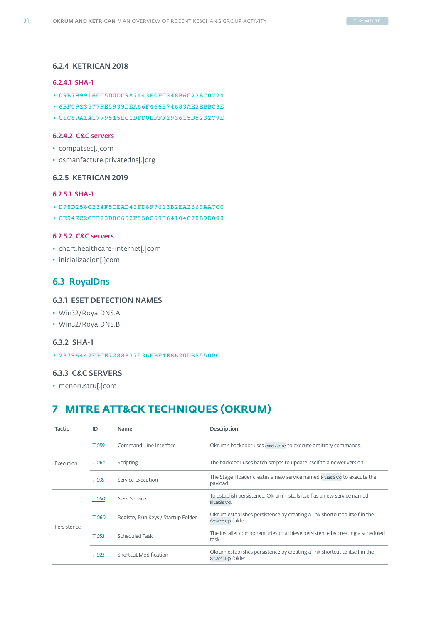# <span id="page-21-0"></span>6.2.4 KETRICAN 2018

### 6.2.4.1 SHA-1

- 09B7999160C5D0DC9A7443F0FC248B6C23BC0724
- 6BF0923577FE5939DEA66F466B74683AE2EBBC3E
- C1C89A1A1779515EC1DFD0EFFF293615D523279E

# 6.2.4.2 C&C servers

- compatsec[.]com
- dsmanfacture.privatedns[.]org

# 6.2.5 KETRICAN 2019

# 6.2.5.1 SHA-1

- D98D258C234F5CEAD43FD897613B2EA2669AA7C0
- CE94EC2CFB23D8C662F558C69B64104C78B9D098

### 6.2.5.2 C&C servers

- chart.healthcare-internet[.]com
- inicializacion[.]com

# 6.3 RoyalDns

# 6.3.1 ESET DETECTION NAMES

- Win32/RoyalDNS.A
- Win32/RoyalDNS.B

# 6.3.2 SHA-1

• 23796442F7CE7288837536EBF4E8620DB55A0BC1

# 6.3.3 C&C SERVERS

• menorustru[.]com

# **7 MITRE ATT&CK TECHNIQUES (OKRUM)**

| <b>Tactic</b> | ID           | Name                               | Description                                                                                    |
|---------------|--------------|------------------------------------|------------------------------------------------------------------------------------------------|
|               | T1059        | Command-Line Interface             | Okrum's backdoor uses cmd. exe to execute arbitrary commands.                                  |
| Execution     | T1064        | Scripting                          | The backdoor uses batch scripts to update itself to a newer version.                           |
|               | <b>TI035</b> | Service Execution                  | The Stage 1 loader creates a new service named NtmsSvc to execute the<br>payload.              |
|               | <b>TI050</b> | New Service                        | To establish persistence, Okrum installs itself as a new service named<br>NtmSsvc.             |
| Persistence   | <b>TIO60</b> | Registry Run Keys / Startup Folder | Okrum establishes persistence by creating a . Ink shortcut to itself in the<br>Startup folder. |
|               | T1053        | Scheduled Task                     | The installer component tries to achieve persistence by creating a scheduled<br>task.          |
|               | T1023        | Shortcut Modification              | Okrum establishes persistence by creating a link shortcut to itself in the<br>Startup folder.  |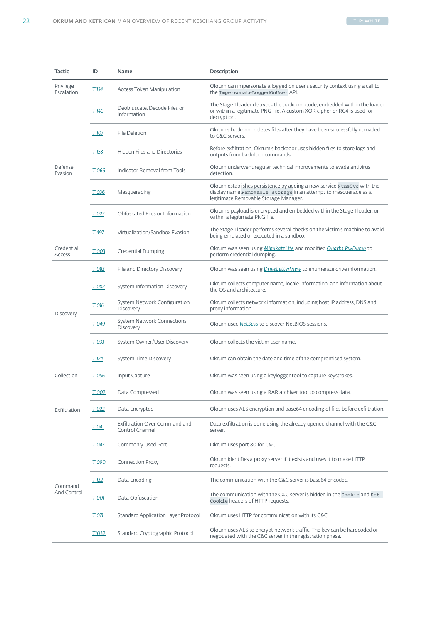| <b>Tactic</b>           | ID                         | Name                                                    | Description                                                                                                                                                                        |
|-------------------------|----------------------------|---------------------------------------------------------|------------------------------------------------------------------------------------------------------------------------------------------------------------------------------------|
| Privilege<br>Escalation | $\Pi$ 134                  | Access Token Manipulation                               | Okrum can impersonate a logged on user's security context using a call to<br>the ImpersonateLoggedOnUser API.                                                                      |
| Defense<br>Evasion      | <b>T1140</b>               | Deobfuscate/Decode Files or<br>Information              | The Stage 1 loader decrypts the backdoor code, embedded within the loader<br>or within a legitimate PNG file. A custom XOR cipher or RC4 is used for<br>decryption.                |
|                         | T1107                      | File Deletion                                           | Okrum's backdoor deletes files after they have been successfully uploaded<br>to C&C servers.                                                                                       |
|                         | T1158                      | Hidden Files and Directories                            | Before exfiltration, Okrum's backdoor uses hidden files to store logs and<br>outputs from backdoor commands.                                                                       |
|                         | T1066                      | Indicator Removal from Tools                            | Okrum underwent regular technical improvements to evade antivirus<br>detection.                                                                                                    |
|                         | T1036                      | Masquerading                                            | Okrum establishes persistence by adding a new service NtmsSvc with the<br>display name Removable Storage in an attempt to masquerade as a<br>legitimate Removable Storage Manager. |
|                         | T1027                      | Obfuscated Files or Information                         | Okrum's payload is encrypted and embedded within the Stage 1 loader, or<br>within a legitimate PNG file.                                                                           |
|                         | T1497                      | Virtualization/Sandbox Evasion                          | The Stage 1 loader performs several checks on the victim's machine to avoid<br>being emulated or executed in a sandbox.                                                            |
| Credential<br>Access    | <b>TIOO3</b>               | Credential Dumping                                      | Okrum was seen using MimikatzLite and modified Quarks PwDump to<br>perform credential dumping.                                                                                     |
| Discovery               | T1083                      | File and Directory Discovery                            | Okrum was seen using <i>DriveLetterView</i> to enumerate drive information.                                                                                                        |
|                         | T1082                      | System Information Discovery                            | Okrum collects computer name, locale information, and information about<br>the OS and architecture.                                                                                |
|                         | $\underline{\text{TO16}}$  | System Network Configuration<br>Discovery               | Okrum collects network information, including host IP address, DNS and<br>proxy information.                                                                                       |
|                         | T1049                      | System Network Connections<br>Discovery                 | Okrum used NetSess to discover NetBIOS sessions.                                                                                                                                   |
|                         | T1033                      | System Owner/User Discovery                             | Okrum collects the victim user name.                                                                                                                                               |
|                         | $\Pi$ 124                  | System Time Discovery                                   | Okrum can obtain the date and time of the compromised system.                                                                                                                      |
| Collection              | T1056                      | Input Capture                                           | Okrum was seen using a keylogger tool to capture keystrokes.                                                                                                                       |
| Exfiltration            | T1002                      | Data Compressed                                         | Okrum was seen using a RAR archiver tool to compress data.                                                                                                                         |
|                         | T1022                      | Data Encrypted                                          | Okrum uses AES encryption and base64 encoding of files before exfiltration.                                                                                                        |
|                         | $\Pi$ <sup>041</sup>       | <b>Exfiltration Over Command and</b><br>Control Channel | Data exfiltration is done using the already opened channel with the C&C<br>server.                                                                                                 |
| Command<br>And Control  | $\underline{\text{T}1043}$ | Commonly Used Port                                      | Okrum uses port 80 for C&C.                                                                                                                                                        |
|                         | T1090                      | <b>Connection Proxy</b>                                 | Okrum identifies a proxy server if it exists and uses it to make HTTP<br>requests.                                                                                                 |
|                         | $\overline{11}132$         | Data Encoding                                           | The communication with the C&C server is base64 encoded.                                                                                                                           |
|                         | $\underline{\text{TOO}}$   | Data Obfuscation                                        | The communication with the C&C server is hidden in the Cookie and Set-<br>Cookie headers of HTTP requests.                                                                         |
|                         | <b>TIO7I</b>               | Standard Application Layer Protocol                     | Okrum uses HTTP for communication with its C&C.                                                                                                                                    |
|                         | T1032                      | Standard Cryptographic Protocol                         | Okrum uses AES to encrypt network traffic. The key can be hardcoded or<br>negotiated with the C&C server in the registration phase.                                                |